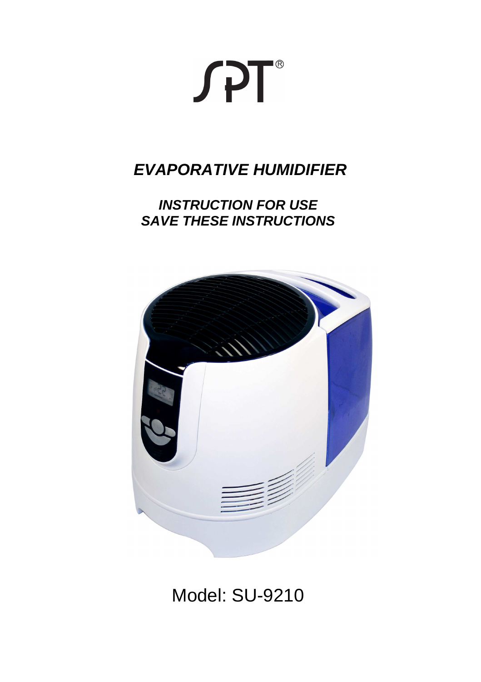

# **EVAPORATIVE HUMIDIFIER**

# **INSTRUCTION FOR USE SAVE THESE INSTRUCTIONS**



# Model: SU-9210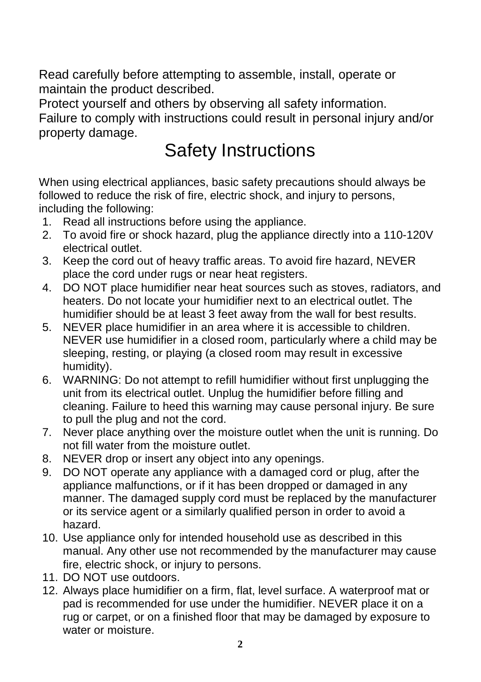Read carefully before attempting to assemble, install, operate or maintain the product described.

Protect yourself and others by observing all safety information.

Failure to comply with instructions could result in personal injury and/or property damage.

# Safety Instructions

When using electrical appliances, basic safety precautions should always be followed to reduce the risk of fire, electric shock, and injury to persons, including the following:

- 1. Read all instructions before using the appliance.
- 2. To avoid fire or shock hazard, plug the appliance directly into a 110-120V electrical outlet.
- 3. Keep the cord out of heavy traffic areas. To avoid fire hazard, NEVER place the cord under rugs or near heat registers.
- 4. DO NOT place humidifier near heat sources such as stoves, radiators, and heaters. Do not locate your humidifier next to an electrical outlet. The humidifier should be at least 3 feet away from the wall for best results.
- 5. NEVER place humidifier in an area where it is accessible to children. NEVER use humidifier in a closed room, particularly where a child may be sleeping, resting, or playing (a closed room may result in excessive humidity).
- 6. WARNING: Do not attempt to refill humidifier without first unplugging the unit from its electrical outlet. Unplug the humidifier before filling and cleaning. Failure to heed this warning may cause personal injury. Be sure to pull the plug and not the cord.
- 7. Never place anything over the moisture outlet when the unit is running. Do not fill water from the moisture outlet.
- 8. NEVER drop or insert any object into any openings.
- 9. DO NOT operate any appliance with a damaged cord or plug, after the appliance malfunctions, or if it has been dropped or damaged in any manner. The damaged supply cord must be replaced by the manufacturer or its service agent or a similarly qualified person in order to avoid a hazard.
- 10. Use appliance only for intended household use as described in this manual. Any other use not recommended by the manufacturer may cause fire, electric shock, or injury to persons.
- 11. DO NOT use outdoors.
- 12. Always place humidifier on a firm, flat, level surface. A waterproof mat or pad is recommended for use under the humidifier. NEVER place it on a rug or carpet, or on a finished floor that may be damaged by exposure to water or moisture.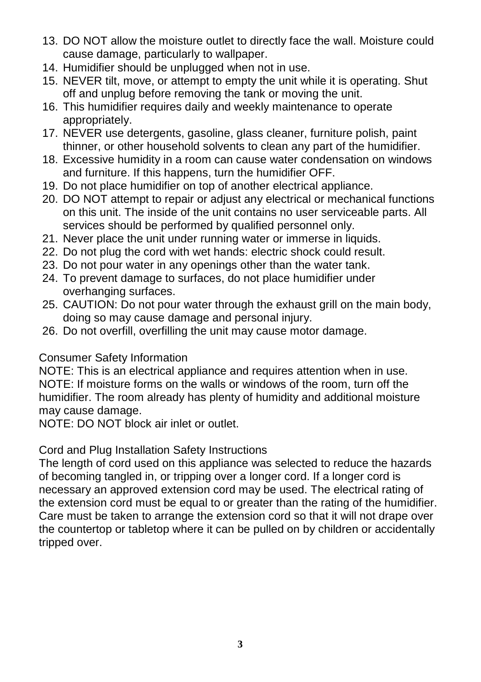- 13. DO NOT allow the moisture outlet to directly face the wall. Moisture could cause damage, particularly to wallpaper.
- 14. Humidifier should be unplugged when not in use.
- 15. NEVER tilt, move, or attempt to empty the unit while it is operating. Shut off and unplug before removing the tank or moving the unit.
- 16. This humidifier requires daily and weekly maintenance to operate appropriately.
- 17. NEVER use detergents, gasoline, glass cleaner, furniture polish, paint thinner, or other household solvents to clean any part of the humidifier.
- 18. Excessive humidity in a room can cause water condensation on windows and furniture. If this happens, turn the humidifier OFF.
- 19. Do not place humidifier on top of another electrical appliance.
- 20. DO NOT attempt to repair or adjust any electrical or mechanical functions on this unit. The inside of the unit contains no user serviceable parts. All services should be performed by qualified personnel only.
- 21. Never place the unit under running water or immerse in liquids.
- 22. Do not plug the cord with wet hands: electric shock could result.
- 23. Do not pour water in any openings other than the water tank.
- 24. To prevent damage to surfaces, do not place humidifier under overhanging surfaces.
- 25. CAUTION: Do not pour water through the exhaust grill on the main body, doing so may cause damage and personal injury.
- 26. Do not overfill, overfilling the unit may cause motor damage.

#### Consumer Safety Information

NOTE: This is an electrical appliance and requires attention when in use. NOTE: If moisture forms on the walls or windows of the room, turn off the humidifier. The room already has plenty of humidity and additional moisture may cause damage.

NOTE: DO NOT block air inlet or outlet.

#### Cord and Plug Installation Safety Instructions

The length of cord used on this appliance was selected to reduce the hazards of becoming tangled in, or tripping over a longer cord. If a longer cord is necessary an approved extension cord may be used. The electrical rating of the extension cord must be equal to or greater than the rating of the humidifier. Care must be taken to arrange the extension cord so that it will not drape over the countertop or tabletop where it can be pulled on by children or accidentally tripped over.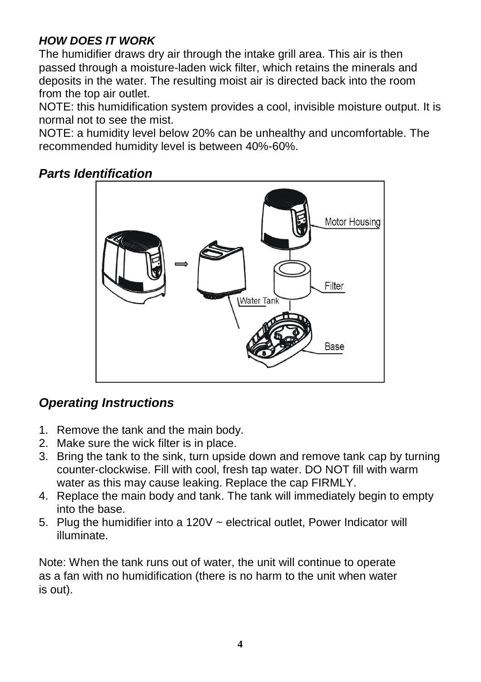# **HOW DOES IT WORK**

The humidifier draws dry air through the intake grill area. This air is then passed through a moisture-laden wick filter, which retains the minerals and deposits in the water. The resulting moist air is directed back into the room from the top air outlet.

NOTE: this humidification system provides a cool, invisible moisture output. It is normal not to see the mist.

NOTE: a humidity level below 20% can be unhealthy and uncomfortable. The recommended humidity level is between 40%-60%.

# **Parts Identification**



# **Operating Instructions**

- 1. Remove the tank and the main body.
- 2. Make sure the wick filter is in place.
- 3. Bring the tank to the sink, turn upside down and remove tank cap by turning counter-clockwise. Fill with cool, fresh tap water. DO NOT fill with warm water as this may cause leaking. Replace the cap FIRMLY.
- 4. Replace the main body and tank. The tank will immediately begin to empty into the base.
- 5. Plug the humidifier into a 120V ~ electrical outlet, Power Indicator will illuminate.

Note: When the tank runs out of water, the unit will continue to operate as a fan with no humidification (there is no harm to the unit when water is out).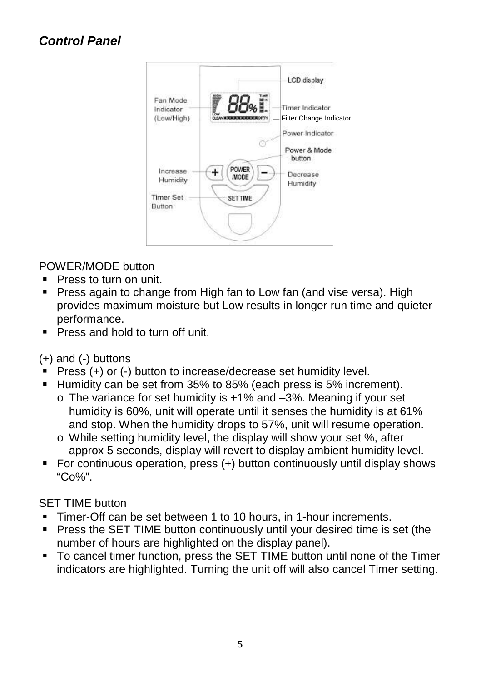# **Control Panel**



#### POWER/MODE button

- **Press to turn on unit.**
- Press again to change from High fan to Low fan (and vise versa). High provides maximum moisture but Low results in longer run time and quieter performance.
- **Press and hold to turn off unit.**

(+) and (-) buttons

- Press (+) or (-) button to increase/decrease set humidity level.
- Humidity can be set from 35% to 85% (each press is 5% increment).
	- o The variance for set humidity is +1% and –3%. Meaning if your set humidity is 60%, unit will operate until it senses the humidity is at 61% and stop. When the humidity drops to 57%, unit will resume operation.
	- o While setting humidity level, the display will show your set %, after approx 5 seconds, display will revert to display ambient humidity level.
- For continuous operation, press (+) button continuously until display shows "Co%".

#### SET TIME button

- Timer-Off can be set between 1 to 10 hours, in 1-hour increments.
- **Phens the SET TIME button continuously until your desired time is set (the** number of hours are highlighted on the display panel).
- To cancel timer function, press the SET TIME button until none of the Timer indicators are highlighted. Turning the unit off will also cancel Timer setting.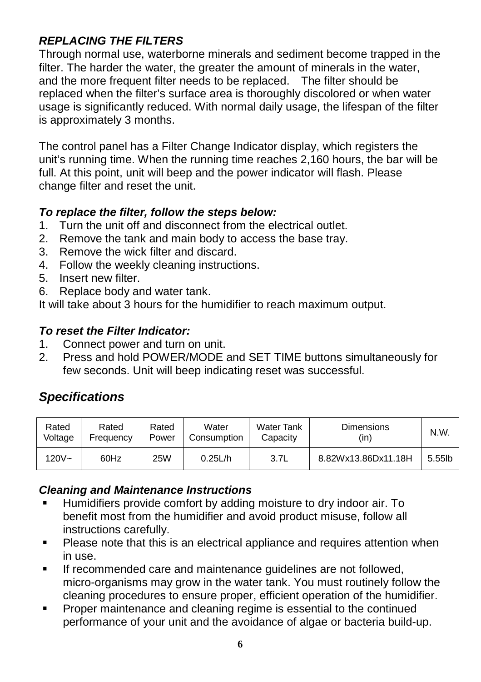# **REPLACING THE FILTERS**

Through normal use, waterborne minerals and sediment become trapped in the filter. The harder the water, the greater the amount of minerals in the water, and the more frequent filter needs to be replaced. The filter should be replaced when the filter's surface area is thoroughly discolored or when water usage is significantly reduced. With normal daily usage, the lifespan of the filter is approximately 3 months.

The control panel has a Filter Change Indicator display, which registers the unit's running time. When the running time reaches 2,160 hours, the bar will be full. At this point, unit will beep and the power indicator will flash. Please change filter and reset the unit.

#### **To replace the filter, follow the steps below:**

- 1. Turn the unit off and disconnect from the electrical outlet.
- 2. Remove the tank and main body to access the base tray.
- 3. Remove the wick filter and discard.
- 4. Follow the weekly cleaning instructions.
- 5. Insert new filter.
- 6. Replace body and water tank.

It will take about 3 hours for the humidifier to reach maximum output.

#### **To reset the Filter Indicator:**

- 1. Connect power and turn on unit.
- 2. Press and hold POWER/MODE and SET TIME buttons simultaneously for few seconds. Unit will beep indicating reset was successful.

# **Specifications**

| Rated    | Rated     | Rated      | Water       | <b>Water Tank</b> | <b>Dimensions</b>   | N.W.   |
|----------|-----------|------------|-------------|-------------------|---------------------|--------|
| Voltage  | Frequency | Power      | Consumption | Capacity          | (in)                |        |
| $120V -$ | 60Hz      | <b>25W</b> | 0.25L/h     | 3.7L              | 8.82Wx13.86Dx11.18H | 5.55lb |

#### **Cleaning and Maintenance Instructions**

- Humidifiers provide comfort by adding moisture to dry indoor air. To benefit most from the humidifier and avoid product misuse, follow all instructions carefully.
- **Please note that this is an electrical appliance and requires attention when** in use.
- If recommended care and maintenance guidelines are not followed, micro-organisms may grow in the water tank. You must routinely follow the cleaning procedures to ensure proper, efficient operation of the humidifier.
- **Proper maintenance and cleaning regime is essential to the continued** performance of your unit and the avoidance of algae or bacteria build-up.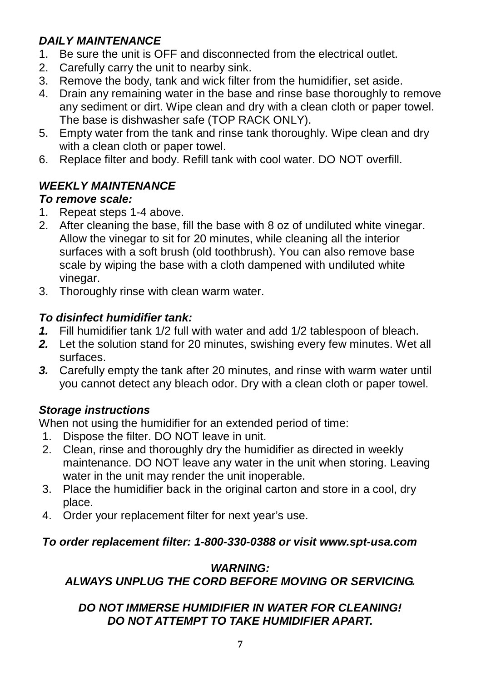# **DAILY MAINTENANCE**

- 1. Be sure the unit is OFF and disconnected from the electrical outlet.
- 2. Carefully carry the unit to nearby sink.
- 3. Remove the body, tank and wick filter from the humidifier, set aside.
- 4. Drain any remaining water in the base and rinse base thoroughly to remove any sediment or dirt. Wipe clean and dry with a clean cloth or paper towel. The base is dishwasher safe (TOP RACK ONLY).
- 5. Empty water from the tank and rinse tank thoroughly. Wipe clean and dry with a clean cloth or paper towel.
- 6. Replace filter and body. Refill tank with cool water. DO NOT overfill.

# **WEEKLY MAINTENANCE**

#### **To remove scale:**

- 1. Repeat steps 1-4 above.
- 2. After cleaning the base, fill the base with 8 oz of undiluted white vinegar. Allow the vinegar to sit for 20 minutes, while cleaning all the interior surfaces with a soft brush (old toothbrush). You can also remove base scale by wiping the base with a cloth dampened with undiluted white vinegar.
- 3. Thoroughly rinse with clean warm water.

# **To disinfect humidifier tank:**

- **1.** Fill humidifier tank 1/2 full with water and add 1/2 tablespoon of bleach.
- **2.** Let the solution stand for 20 minutes, swishing every few minutes. Wet all surfaces.
- **3.** Carefully empty the tank after 20 minutes, and rinse with warm water until you cannot detect any bleach odor. Dry with a clean cloth or paper towel.

# **Storage instructions**

When not using the humidifier for an extended period of time:

- 1. Dispose the filter. DO NOT leave in unit.
- 2. Clean, rinse and thoroughly dry the humidifier as directed in weekly maintenance. DO NOT leave any water in the unit when storing. Leaving water in the unit may render the unit inoperable.
- 3. Place the humidifier back in the original carton and store in a cool, dry place.
- 4. Order your replacement filter for next year's use.

# **To order replacement filter: 1-800-330-0388 or visit www.spt-usa.com**

# **WARNING:**

# **ALWAYS UNPLUG THE CORD BEFORE MOVING OR SERVICING.**

# **DO NOT IMMERSE HUMIDIFIER IN WATER FOR CLEANING! DO NOT ATTEMPT TO TAKE HUMIDIFIER APART.**